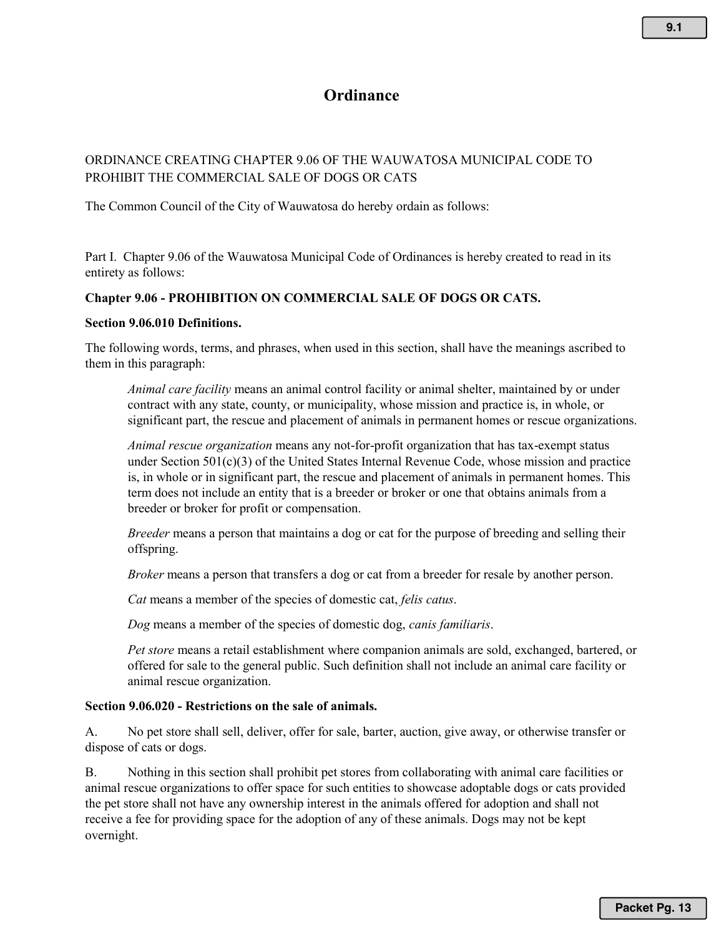# **Ordinance**

# ORDINANCE CREATING CHAPTER 9.06 OF THE WAUWATOSA MUNICIPAL CODE TO PROHIBIT THE COMMERCIAL SALE OF DOGS OR CATS

The Common Council of the City of Wauwatosa do hereby ordain as follows:

Part I. Chapter 9.06 of the Wauwatosa Municipal Code of Ordinances is hereby created to read in its entirety as follows:

### **Chapter 9.06 - PROHIBITION ON COMMERCIAL SALE OF DOGS OR CATS.**

#### **Section 9.06.010 Definitions.**

The following words, terms, and phrases, when used in this section, shall have the meanings ascribed to them in this paragraph:

*Animal care facility* means an animal control facility or animal shelter, maintained by or under contract with any state, county, or municipality, whose mission and practice is, in whole, or significant part, the rescue and placement of animals in permanent homes or rescue organizations.

*Animal rescue organization* means any not-for-profit organization that has tax-exempt status under Section 501(c)(3) of the United States Internal Revenue Code, whose mission and practice is, in whole or in significant part, the rescue and placement of animals in permanent homes. This term does not include an entity that is a breeder or broker or one that obtains animals from a breeder or broker for profit or compensation.

*Breeder* means a person that maintains a dog or cat for the purpose of breeding and selling their offspring.

*Broker* means a person that transfers a dog or cat from a breeder for resale by another person.

*Cat* means a member of the species of domestic cat, *felis catus*.

*Dog* means a member of the species of domestic dog, *canis familiaris*.

*Pet store* means a retail establishment where companion animals are sold, exchanged, bartered, or offered for sale to the general public. Such definition shall not include an animal care facility or animal rescue organization.

#### **Section 9.06.020 - Restrictions on the sale of animals.**

A. No pet store shall sell, deliver, offer for sale, barter, auction, give away, or otherwise transfer or dispose of cats or dogs.

B. Nothing in this section shall prohibit pet stores from collaborating with animal care facilities or animal rescue organizations to offer space for such entities to showcase adoptable dogs or cats provided the pet store shall not have any ownership interest in the animals offered for adoption and shall not receive a fee for providing space for the adoption of any of these animals. Dogs may not be kept overnight.